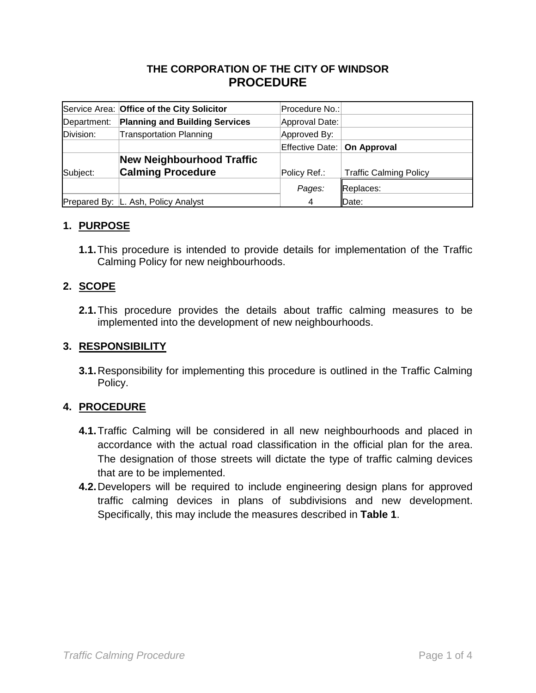# **THE CORPORATION OF THE CITY OF WINDSOR PROCEDURE**

|             | Service Area: Office of the City Solicitor | Procedure No.:                |                               |
|-------------|--------------------------------------------|-------------------------------|-------------------------------|
| Department: | <b>Planning and Building Services</b>      | Approval Date:                |                               |
| Division:   | <b>Transportation Planning</b>             | Approved By:                  |                               |
|             |                                            | Effective Date:   On Approval |                               |
|             | <b>New Neighbourhood Traffic</b>           |                               |                               |
| Subject:    | <b>Calming Procedure</b>                   | Policy Ref.:                  | <b>Traffic Calming Policy</b> |
|             |                                            | Pages:                        | Replaces:                     |
|             | Prepared By:   L. Ash, Policy Analyst      | 4                             | Date:                         |

## **1. PURPOSE**

**1.1.**This procedure is intended to provide details for implementation of the Traffic Calming Policy for new neighbourhoods.

#### **2. SCOPE**

**2.1.**This procedure provides the details about traffic calming measures to be implemented into the development of new neighbourhoods.

#### **3. RESPONSIBILITY**

**3.1.**Responsibility for implementing this procedure is outlined in the Traffic Calming Policy.

## **4. PROCEDURE**

- **4.1.**Traffic Calming will be considered in all new neighbourhoods and placed in accordance with the actual road classification in the official plan for the area. The designation of those streets will dictate the type of traffic calming devices that are to be implemented.
- **4.2.**Developers will be required to include engineering design plans for approved traffic calming devices in plans of subdivisions and new development. Specifically, this may include the measures described in **Table 1**.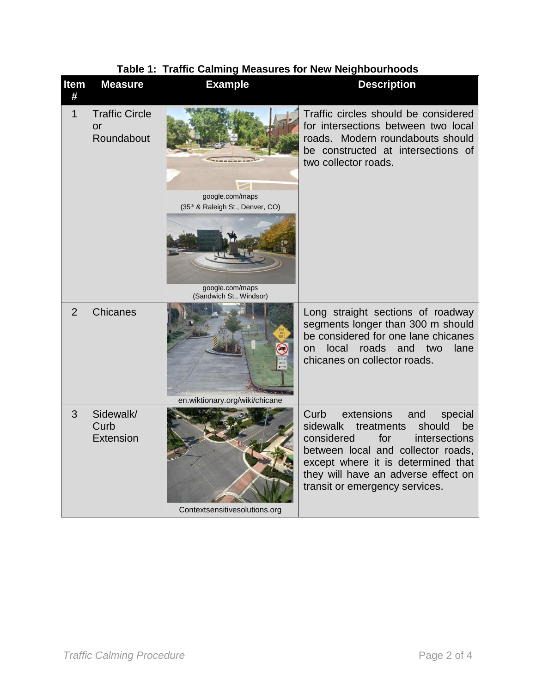| <b>Item</b><br># | <b>Measure</b>                                  | <b>Example</b>                                                                                    | <b>Description</b>                                                                                                                                                                                                                                                        |
|------------------|-------------------------------------------------|---------------------------------------------------------------------------------------------------|---------------------------------------------------------------------------------------------------------------------------------------------------------------------------------------------------------------------------------------------------------------------------|
| $\mathbf 1$      | <b>Traffic Circle</b><br>$\alpha$<br>Roundabout | google.com/maps<br>(35th & Raleigh St., Denver, CO)<br>google.com/maps<br>(Sandwich St., Windsor) | Traffic circles should be considered<br>for intersections between two local<br>roads. Modern roundabouts should<br>be constructed at intersections of<br>two collector roads.                                                                                             |
| $\overline{2}$   | Chicanes                                        | en.wiktionary.org/wiki/chicane                                                                    | Long straight sections of roadway<br>segments longer than 300 m should<br>be considered for one lane chicanes<br>local<br>roads<br>and<br>two<br>lane<br><b>on</b><br>chicanes on collector roads.                                                                        |
| 3                | Sidewalk/<br>Curb<br>Extension                  | Contextsensitivesolutions.org                                                                     | Curb<br>extensions<br>and<br>special<br>sidewalk<br>treatments<br>should<br>be<br>considered<br>for<br>intersections<br>between local and collector roads,<br>except where it is determined that<br>they will have an adverse effect on<br>transit or emergency services. |

# **Table 1: Traffic Calming Measures for New Neighbourhoods**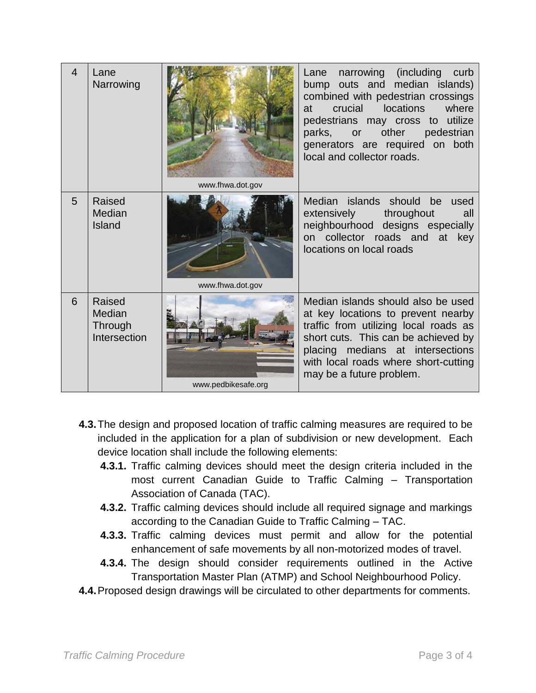| $\overline{4}$ | Lane<br>Narrowing                           | www.fhwa.dot.gov    | narrowing (including<br>Lane<br>curb<br>bump outs and median islands)<br>combined with pedestrian crossings<br><b>locations</b><br>where<br>crucial<br>at<br>pedestrians may cross to utilize<br>other<br>pedestrian<br>parks, or<br>generators are required on both<br>local and collector roads. |
|----------------|---------------------------------------------|---------------------|----------------------------------------------------------------------------------------------------------------------------------------------------------------------------------------------------------------------------------------------------------------------------------------------------|
| 5              | Raised<br>Median<br>Island                  | www.fhwa.dot.gov    | Median islands should be<br>used<br>extensively<br>throughout<br>all<br>neighbourhood designs especially<br>on collector roads and at key<br>locations on local roads                                                                                                                              |
| 6              | Raised<br>Median<br>Through<br>Intersection | www.pedbikesafe.org | Median islands should also be used<br>at key locations to prevent nearby<br>traffic from utilizing local roads as<br>short cuts. This can be achieved by<br>placing medians at intersections<br>with local roads where short-cutting<br>may be a future problem.                                   |

- **4.3.**The design and proposed location of traffic calming measures are required to be included in the application for a plan of subdivision or new development. Each device location shall include the following elements:
	- **4.3.1.** Traffic calming devices should meet the design criteria included in the most current Canadian Guide to Traffic Calming – Transportation Association of Canada (TAC).
	- **4.3.2.** Traffic calming devices should include all required signage and markings according to the Canadian Guide to Traffic Calming – TAC.
	- **4.3.3.** Traffic calming devices must permit and allow for the potential enhancement of safe movements by all non-motorized modes of travel.
	- **4.3.4.** The design should consider requirements outlined in the Active Transportation Master Plan (ATMP) and School Neighbourhood Policy.
- **4.4.**Proposed design drawings will be circulated to other departments for comments.